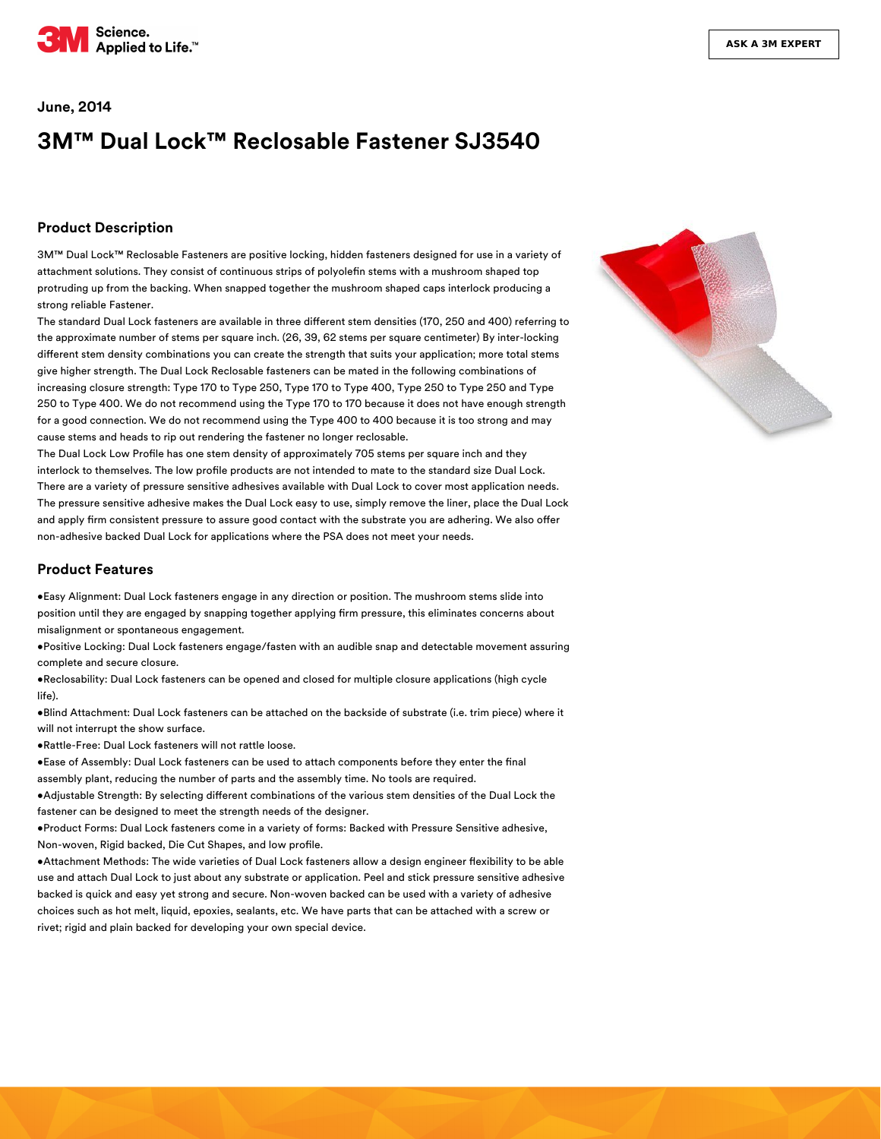

#### **June, 2014**

# **3M™ Dual Lock™ Reclosable Fastener SJ3540**

#### **Product Description**

3M™ Dual Lock™ Reclosable Fasteners are positive locking, hidden fasteners designed for use in a variety of attachment solutions. They consist of continuous strips of polyolefin stems with a mushroom shaped top protruding up from the backing. When snapped together the mushroom shaped caps interlock producing a strong reliable Fastener.

The standard Dual Lock fasteners are available in three different stem densities (170, 250 and 400) referring to the approximate number of stems per square inch. (26, 39, 62 stems per square centimeter) By inter-locking different stem density combinations you can create the strength that suits your application; more total stems give higher strength. The Dual Lock Reclosable fasteners can be mated in the following combinations of increasing closure strength: Type 170 to Type 250, Type 170 to Type 400, Type 250 to Type 250 and Type 250 to Type 400. We do not recommend using the Type 170 to 170 because it does not have enough strength for a good connection. We do not recommend using the Type 400 to 400 because it is too strong and may cause stems and heads to rip out rendering the fastener no longer reclosable.

The Dual Lock Low Profile has one stem density of approximately 705 stems per square inch and they interlock to themselves. The low profile products are not intended to mate to the standard size Dual Lock. There are a variety of pressure sensitive adhesives available with Dual Lock to cover most application needs. The pressure sensitive adhesive makes the Dual Lock easy to use, simply remove the liner, place the Dual Lock and apply firm consistent pressure to assure good contact with the substrate you are adhering. We also offer non-adhesive backed Dual Lock for applications where the PSA does not meet your needs.

#### **Product Features**

•Easy Alignment: Dual Lock fasteners engage in any direction or position. The mushroom stems slide into position until they are engaged by snapping together applying firm pressure, this eliminates concerns about misalignment or spontaneous engagement.

•Positive Locking: Dual Lock fasteners engage/fasten with an audible snap and detectable movement assuring complete and secure closure.

•Reclosability: Dual Lock fasteners can be opened and closed for multiple closure applications (high cycle life).

•Blind Attachment: Dual Lock fasteners can be attached on the backside of substrate (i.e. trim piece) where it will not interrupt the show surface.

•Rattle-Free: Dual Lock fasteners will not rattle loose.

•Ease of Assembly: Dual Lock fasteners can be used to attach components before they enter the final assembly plant, reducing the number of parts and the assembly time. No tools are required.

•Adjustable Strength: By selecting different combinations of the various stem densities of the Dual Lock the fastener can be designed to meet the strength needs of the designer.

•Product Forms: Dual Lock fasteners come in a variety of forms: Backed with Pressure Sensitive adhesive, Non-woven, Rigid backed, Die Cut Shapes, and low profile.

. Attachment Methods: The wide varieties of Dual Lock fasteners allow a design engineer flexibility to be able use and attach Dual Lock to just about any substrate or application. Peel and stick pressure sensitive adhesive backed is quick and easy yet strong and secure. Non-woven backed can be used with a variety of adhesive choices such as hot melt, liquid, epoxies, sealants, etc. We have parts that can be attached with a screw or rivet; rigid and plain backed for developing your own special device.

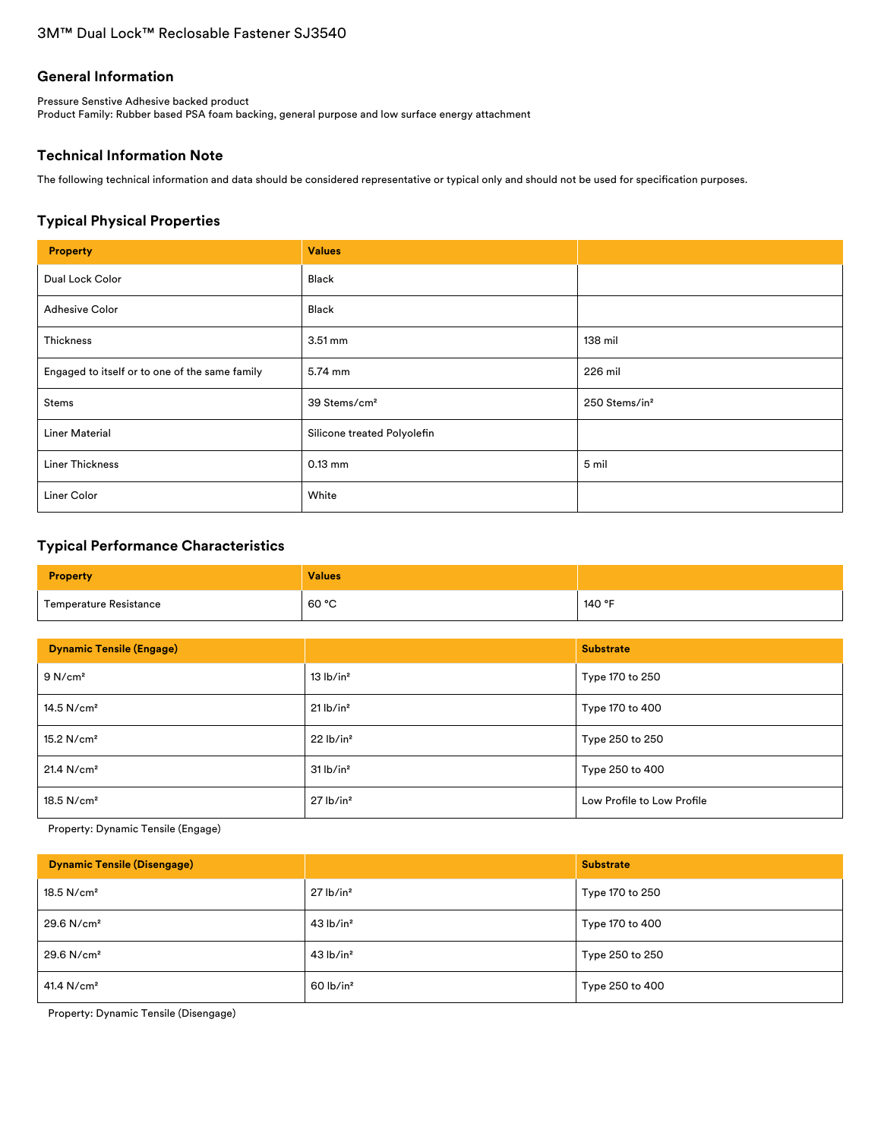#### **General Information**

Pressure Senstive Adhesive backed product Product Family: Rubber based PSA foam backing, general purpose and low surface energy attachment

# **Technical Information Note**

The following technical information and data should be considered representative or typical only and should not be used for specification purposes.

# **Typical Physical Properties**

| <b>Property</b>                                | <b>Values</b>               |                           |
|------------------------------------------------|-----------------------------|---------------------------|
| Dual Lock Color                                | Black                       |                           |
| <b>Adhesive Color</b>                          | Black                       |                           |
| Thickness                                      | $3.51 \,\mathrm{mm}$        | 138 mil                   |
| Engaged to itself or to one of the same family | 5.74 mm                     | 226 mil                   |
| Stems                                          | 39 Stems/cm <sup>2</sup>    | 250 Stems/in <sup>2</sup> |
| <b>Liner Material</b>                          | Silicone treated Polyolefin |                           |
| <b>Liner Thickness</b>                         | $0.13$ mm                   | 5 mil                     |
| Liner Color                                    | White                       |                           |

# **Typical Performance Characteristics**

| <b>Property</b>        | <b>Values</b> |        |
|------------------------|---------------|--------|
| Temperature Resistance | 60 °C         | 140 °F |

| <b>Dynamic Tensile (Engage)</b> |                         | <b>Substrate</b>           |
|---------------------------------|-------------------------|----------------------------|
| 9 N/cm <sup>2</sup>             | 13 lb/in <sup>2</sup>   | Type 170 to 250            |
| 14.5 $N/cm2$                    | $21$ lb/in <sup>2</sup> | Type 170 to 400            |
| 15.2 $N/cm2$                    | 22 lb/in <sup>2</sup>   | Type 250 to 250            |
| 21.4 N/cm <sup>2</sup>          | 31 lb/in <sup>2</sup>   | Type 250 to 400            |
| 18.5 N/cm <sup>2</sup>          | $27$ lb/in <sup>2</sup> | Low Profile to Low Profile |

Property: Dynamic Tensile (Engage)

| <b>Dynamic Tensile (Disengage)</b> |                         | <b>Substrate</b> |
|------------------------------------|-------------------------|------------------|
| $18.5$ N/cm <sup>2</sup>           | $27$ lb/in <sup>2</sup> | Type 170 to 250  |
| $29.6$ N/cm <sup>2</sup>           | $43$ lb/in <sup>2</sup> | Type 170 to 400  |
| 29.6 N/cm <sup>2</sup>             | $43$ lb/in <sup>2</sup> | Type 250 to 250  |
| 41.4 N/cm <sup>2</sup>             | $60$ lb/in <sup>2</sup> | Type 250 to 400  |

Property: Dynamic Tensile (Disengage)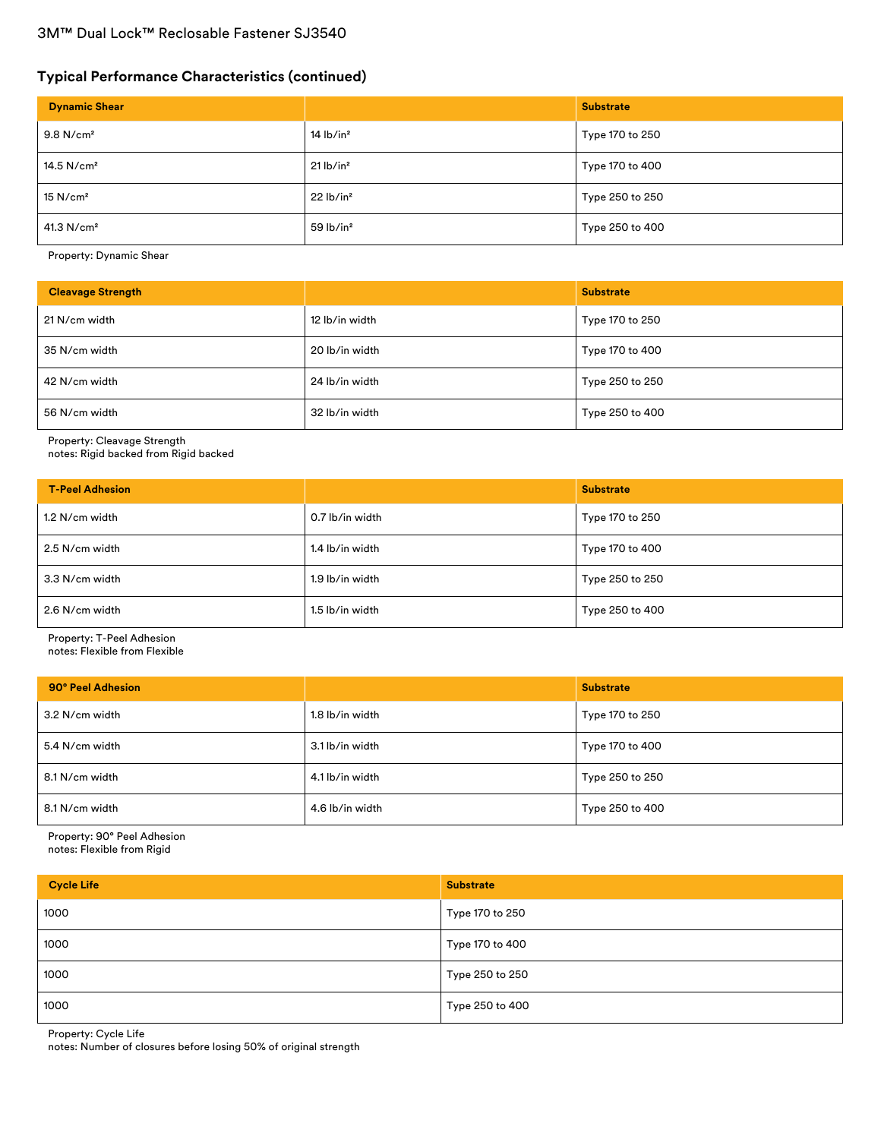# 3M™ Dual Lock™ Reclosable Fastener SJ3540

# **Typical Performance Characteristics (continued)**

| <b>Dynamic Shear</b>    |                         | <b>Substrate</b> |
|-------------------------|-------------------------|------------------|
| $9.8$ N/cm <sup>2</sup> | $14$ lb/in <sup>2</sup> | Type 170 to 250  |
| 14.5 $N/cm2$            | 21 lb/in <sup>2</sup>   | Type 170 to 400  |
| $15$ N/cm <sup>2</sup>  | 22 lb/in <sup>2</sup>   | Type 250 to 250  |
| 41.3 $N/cm2$            | $59$ lb/in <sup>2</sup> | Type 250 to 400  |

Property: Dynamic Shear

| <b>Cleavage Strength</b> |                | <b>Substrate</b> |
|--------------------------|----------------|------------------|
| 21 N/cm width            | 12 lb/in width | Type 170 to 250  |
| 35 N/cm width            | 20 lb/in width | Type 170 to 400  |
| 42 N/cm width            | 24 lb/in width | Type 250 to 250  |
| 56 N/cm width            | 32 lb/in width | Type 250 to 400  |

Property: Cleavage Strength

notes: Rigid backed from Rigid backed

| <b>T-Peel Adhesion</b> |                 | <b>Substrate</b> |
|------------------------|-----------------|------------------|
| 1.2 N/cm width         | 0.7 lb/in width | Type 170 to 250  |
| 2.5 N/cm width         | 1.4 lb/in width | Type 170 to 400  |
| 3.3 N/cm width         | 1.9 lb/in width | Type 250 to 250  |
| 2.6 N/cm width         | 1.5 lb/in width | Type 250 to 400  |

Property: T-Peel Adhesion

notes: Flexible from Flexible

| 90° Peel Adhesion |                 | <b>Substrate</b> |
|-------------------|-----------------|------------------|
| 3.2 N/cm width    | 1.8 lb/in width | Type 170 to 250  |
| 5.4 N/cm width    | 3.1 lb/in width | Type 170 to 400  |
| 8.1 N/cm width    | 4.1 lb/in width | Type 250 to 250  |
| 8.1 N/cm width    | 4.6 lb/in width | Type 250 to 400  |

Property: 90° Peel Adhesion notes: Flexible from Rigid

| <b>Cycle Life</b> | <b>Substrate</b> |
|-------------------|------------------|
| 1000              | Type 170 to 250  |
| 1000              | Type 170 to 400  |
| 1000              | Type 250 to 250  |
| 1000              | Type 250 to 400  |

Property: Cycle Life

notes: Number of closures before losing 50% of original strength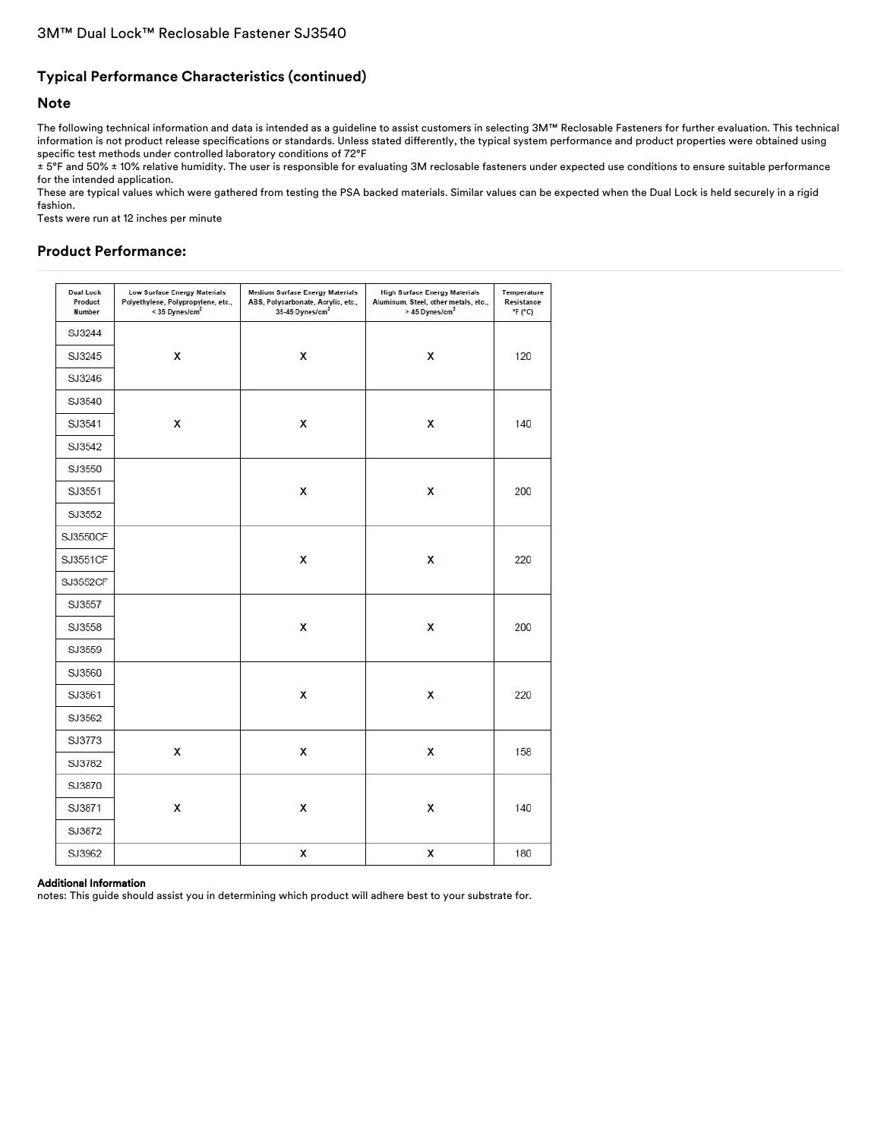# **Typical Performance Characteristics (continued)**

#### **Note**

The following technical information and data is intended as a guideline to assist customers in selecting 3M™ Reclosable Fasteners for further evaluation. This technical information is not product release specifications or standards. Unless stated differently, the typical system performance and product properties were obtained using specific test methods under controlled laboratory conditions of 72°F

± 5°F and 50% ± 10% relative humidity. The user is responsible for evaluating 3M reclosable fasteners under expected use conditions to ensure suitable performance for the intended application.

These are typical values which were gathered from testing the PSA backed materials. Similar values can be expected when the Dual Lock is held securely in a rigid fashion.

Tests were run at 12 inches per minute

## **Product Performance:**

| <b>Dual Lock</b><br>Product<br><b>Number</b> | <b>Low Surface Energy Materials</b><br>Polyethylene, Polypropylene, etc.,<br>< 35 Dynes/cm <sup>2</sup> | <b>Medium Surface Energy Materials</b><br>ABS, Polycarbonate, Acrylic, etc.,<br>35-45 Dynes/cm <sup>2</sup> | <b>High Surface Energy Materials</b><br>Aluminum, Steel, other metals, etc.,<br>> 45 Dynes/cm <sup>2</sup> | Temperature<br>Resistance<br>F(T) |
|----------------------------------------------|---------------------------------------------------------------------------------------------------------|-------------------------------------------------------------------------------------------------------------|------------------------------------------------------------------------------------------------------------|-----------------------------------|
| SJ3244                                       |                                                                                                         |                                                                                                             |                                                                                                            |                                   |
| SJ3245                                       | $\mathsf{x}$                                                                                            | $\mathsf{x}$                                                                                                | $\mathsf{x}$                                                                                               | 120                               |
| SJ3246                                       |                                                                                                         |                                                                                                             |                                                                                                            |                                   |
| SJ3540                                       |                                                                                                         |                                                                                                             |                                                                                                            |                                   |
| SJ3541                                       | X                                                                                                       | $\mathsf{x}$                                                                                                | X                                                                                                          | 140                               |
| SJ3542                                       |                                                                                                         |                                                                                                             |                                                                                                            |                                   |
| SJ3550                                       |                                                                                                         |                                                                                                             |                                                                                                            |                                   |
| SJ3551                                       |                                                                                                         | X                                                                                                           | X                                                                                                          | 200                               |
| SJ3552                                       |                                                                                                         |                                                                                                             |                                                                                                            |                                   |
| <b>SJ3550CF</b>                              |                                                                                                         |                                                                                                             |                                                                                                            |                                   |
| SJ3551CF                                     |                                                                                                         | X                                                                                                           | X                                                                                                          | 220                               |
| SJ3552CF                                     |                                                                                                         |                                                                                                             |                                                                                                            |                                   |
| SJ3557                                       |                                                                                                         |                                                                                                             |                                                                                                            |                                   |
| SJ3558                                       |                                                                                                         | X                                                                                                           | X                                                                                                          | 200                               |
| SJ3559                                       |                                                                                                         |                                                                                                             |                                                                                                            |                                   |
| SJ3560                                       |                                                                                                         |                                                                                                             |                                                                                                            |                                   |
| SJ3561                                       |                                                                                                         | $\mathsf{x}$                                                                                                | X                                                                                                          | 220                               |
| SJ3562                                       |                                                                                                         |                                                                                                             |                                                                                                            |                                   |
| SJ3773                                       |                                                                                                         |                                                                                                             |                                                                                                            |                                   |
| SJ3782                                       | X                                                                                                       | $\mathsf{x}$                                                                                                | X                                                                                                          | 158                               |
| SJ3870                                       |                                                                                                         |                                                                                                             |                                                                                                            |                                   |
| SJ3871                                       | X                                                                                                       | $\mathsf{x}$                                                                                                | X                                                                                                          | 140                               |
| SJ3872                                       |                                                                                                         |                                                                                                             |                                                                                                            |                                   |
| SJ3962                                       |                                                                                                         | X                                                                                                           | X                                                                                                          | 180                               |

#### Additional Information

notes: This guide should assist you in determining which product will adhere best to your substrate for.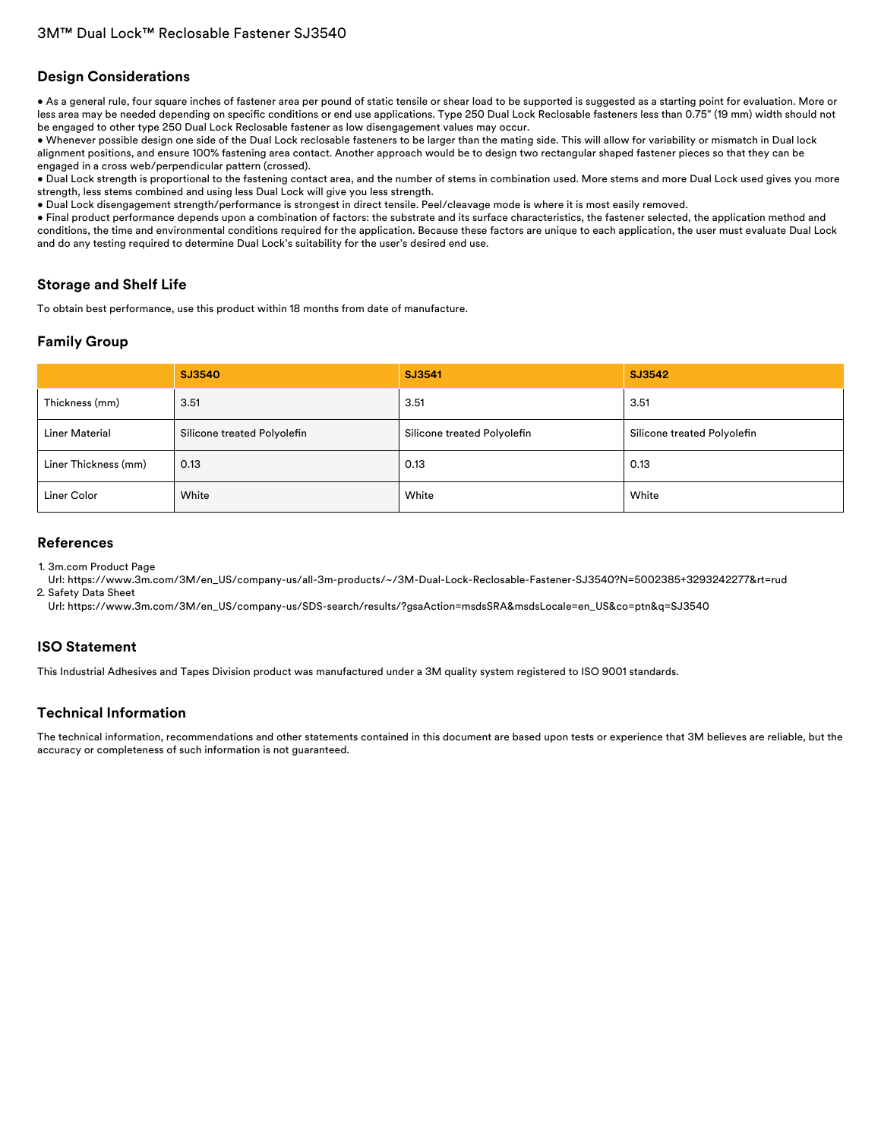#### **Design Considerations**

• As a general rule, four square inches of fastener area per pound of static tensile or shear load to be supported is suggested as a starting point for evaluation. More or less area may be needed depending on specific conditions or end use applications. Type 250 Dual Lock Reclosable fasteners less than 0.75" (19 mm) width should not be engaged to other type 250 Dual Lock Reclosable fastener as low disengagement values may occur.

• Whenever possible design one side of the Dual Lock reclosable fasteners to be larger than the mating side. This will allow for variability or mismatch in Dual lock alignment positions, and ensure 100% fastening area contact. Another approach would be to design two rectangular shaped fastener pieces so that they can be engaged in a cross web/perpendicular pattern (crossed).

• Dual Lock strength is proportional to the fastening contact area, and the number of stems in combination used. More stems and more Dual Lock used gives you more strength, less stems combined and using less Dual Lock will give you less strength.

• Dual Lock disengagement strength/performance is strongest in direct tensile. Peel/cleavage mode is where it is most easily removed.

• Final product performance depends upon a combination of factors: the substrate and its surface characteristics, the fastener selected, the application method and conditions, the time and environmental conditions required for the application. Because these factors are unique to each application, the user must evaluate Dual Lock and do any testing required to determine Dual Lock's suitability for the user's desired end use.

### **Storage and Shelf Life**

To obtain best performance, use this product within 18 months from date of manufacture.

## **Family Group**

|                       | SJ3540                      | SJ3541                      | SJ3542                      |
|-----------------------|-----------------------------|-----------------------------|-----------------------------|
| Thickness (mm)        | 3.51                        | 3.51                        | 3.51                        |
| <b>Liner Material</b> | Silicone treated Polyolefin | Silicone treated Polyolefin | Silicone treated Polyolefin |
| Liner Thickness (mm)  | 0.13                        | 0.13                        | 0.13                        |
| Liner Color           | White                       | White                       | White                       |

#### **References**

1. 3m.com Product Page

Url: [https://www.3m.com/3M/en\\_US/company-us/all-3m-products/~/3M-Dual-Lock-Reclosable-Fastener-SJ3540?N=5002385+3293242277&rt=rud](https://www.3m.com/3M/en_US/company-us/all-3m-products/~/3M-Dual-Lock-Reclosable-Fastener-SJ3540?N=5002385+3293242277&rt=rud) 2. Safety Data Sheet

Url: [https://www.3m.com/3M/en\\_US/company-us/SDS-search/results/?gsaAction=msdsSRA&msdsLocale=en\\_US&co=ptn&q=SJ3540](https://www.3m.com/3M/en_US/company-us/SDS-search/results/?gsaAction=msdsSRA&msdsLocale=en_US&co=ptn&q=SJ3540)

### **ISO Statement**

This Industrial Adhesives and Tapes Division product was manufactured under a 3M quality system registered to ISO 9001 standards.

### **Technical Information**

The technical information, recommendations and other statements contained in this document are based upon tests or experience that 3M believes are reliable, but the accuracy or completeness of such information is not guaranteed.